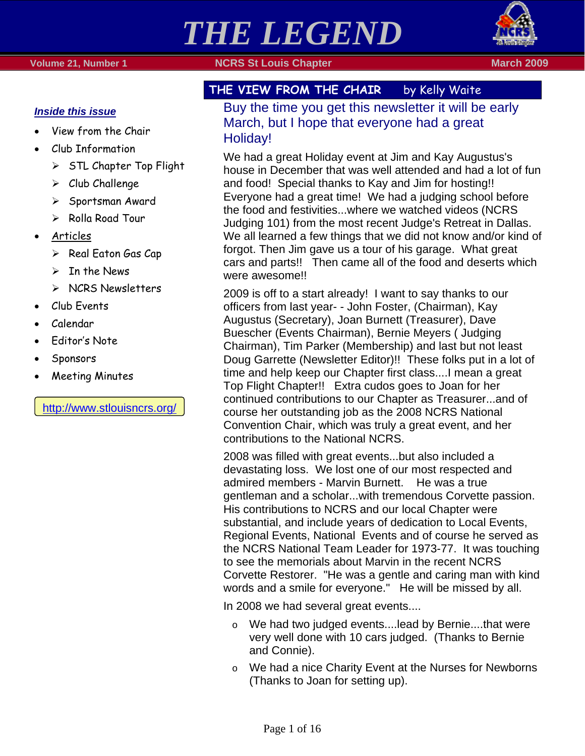

## *Inside this issue*

- View from the Chair
- Club Information
	- $>$  STL Chapter Top Flight
	- $\triangleright$  Club Challenge
	- $\triangleright$  Sportsman Award
	- $\triangleright$  Rolla Road Tour
- Articles
	- $\triangleright$  Real Eaton Gas Cap
	- $\triangleright$  In the News
	- $\triangleright$  NCRS Newsletters
- Club Events
- Calendar
- Editor's Note
- Sponsors
- Meeting Minutes

<http://www.stlouisncrs.org/>

## **THE VIEW FROM THE CHAIR** by Kelly Waite

## Buy the time you get this newsletter it will be early March, but I hope that everyone had a great Holiday!

We had a great Holiday event at Jim and Kay Augustus's house in December that was well attended and had a lot of fun and food! Special thanks to Kay and Jim for hosting!! Everyone had a great time! We had a judging school before the food and festivities...where we watched videos (NCRS Judging 101) from the most recent Judge's Retreat in Dallas. We all learned a few things that we did not know and/or kind of forgot. Then Jim gave us a tour of his garage. What great cars and parts!! Then came all of the food and deserts which were awesome!!

2009 is off to a start already! I want to say thanks to our officers from last year- - John Foster, (Chairman), Kay Augustus (Secretary), Joan Burnett (Treasurer), Dave Buescher (Events Chairman), Bernie Meyers ( Judging Chairman), Tim Parker (Membership) and last but not least Doug Garrette (Newsletter Editor)!! These folks put in a lot of time and help keep our Chapter first class....I mean a great Top Flight Chapter!! Extra cudos goes to Joan for her continued contributions to our Chapter as Treasurer...and of course her outstanding job as the 2008 NCRS National Convention Chair, which was truly a great event, and her contributions to the National NCRS.

2008 was filled with great events...but also included a devastating loss. We lost one of our most respected and admired members - Marvin Burnett. He was a true gentleman and a scholar...with tremendous Corvette passion. His contributions to NCRS and our local Chapter were substantial, and include years of dedication to Local Events, Regional Events, National Events and of course he served as the NCRS National Team Leader for 1973-77. It was touching to see the memorials about Marvin in the recent NCRS Corvette Restorer. "He was a gentle and caring man with kind words and a smile for everyone." He will be missed by all.

In 2008 we had several great events....

- o We had two judged events....lead by Bernie....that were very well done with 10 cars judged. (Thanks to Bernie and Connie).
- o We had a nice Charity Event at the Nurses for Newborns (Thanks to Joan for setting up).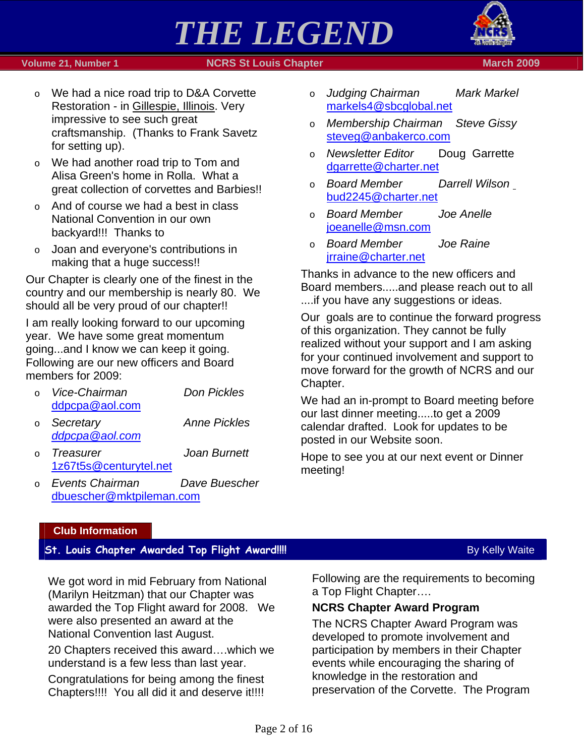

#### **Volume 21, Number 1 <b>NGRS St Louis Chapter** March 2009 **March 2009**

- o We had a nice road trip to D&A Corvette Restoration - in [Gillespie, Illinois.](http://www.city-data.com/city/Gillespie-Illinois.html) Very impressive to see such great craftsmanship. (Thanks to Frank Savetz for setting up).
- o We had another road trip to Tom and Alisa Green's home in Rolla. What a great collection of corvettes and Barbies!!
- o And of course we had a best in class National Convention in our own backyard!!! Thanks to
- o Joan and everyone's contributions in making that a huge success!!

Our Chapter is clearly one of the finest in the country and our membership is nearly 80. We should all be very proud of our chapter!!

I am really looking forward to our upcoming year. We have some great momentum going...and I know we can keep it going. Following are our new officers and Board members for 2009:

- o *Vice-Chairman Don Pickles*  ddpcpa@aol.com
- o *Secretary Anne Pickles ddpcpa@aol.com*
- o *Treasurer Joan Burnett*  1z67t5s@centurytel.net
- o *Events Chairman Dave Buescher*  dbuescher@mktpileman.com
- o *Judging Chairman Mark Markel*  markels4@sbcglobal.net
- o *Membership Chairman Steve Gissy* steveg@anbakerco.com
- o *Newsletter Editor* Doug Garrette dgarrette@charter.net
- o *Board Member Darrell Wilson*  [bud2245@charter.net](mailto:bud2245@charter.net)
- o *Board Member Joe Anelle*  joeanelle@msn.com
- o *Board Member Joe Raine*  jrraine@charter.net

Thanks in advance to the new officers and Board members.....and please reach out to all ....if you have any suggestions or ideas.

Our goals are to continue the forward progress of this organization. They cannot be fully realized without your support and I am asking for your continued involvement and support to move forward for the growth of NCRS and our Chapter.

We had an in-prompt to Board meeting before our last dinner meeting.....to get a 2009 calendar drafted. Look for updates to be posted in our Website soon.

Hope to see you at our next event or Dinner meeting!

#### **Club Information**

#### **St. Louis Chapter Awarded Top Flight Award!!!!** By Kelly Waite

We got word in mid February from National (Marilyn Heitzman) that our Chapter was awarded the Top Flight award for 2008. We were also presented an award at the National Convention last August.

20 Chapters received this award….which we understand is a few less than last year.

Congratulations for being among the finest Chapters!!!! You all did it and deserve it!!!!

Following are the requirements to becoming a Top Flight Chapter….

#### **NCRS Chapter Award Program**

The NCRS Chapter Award Program was developed to promote involvement and participation by members in their Chapter events while encouraging the sharing of knowledge in the restoration and preservation of the Corvette. The Program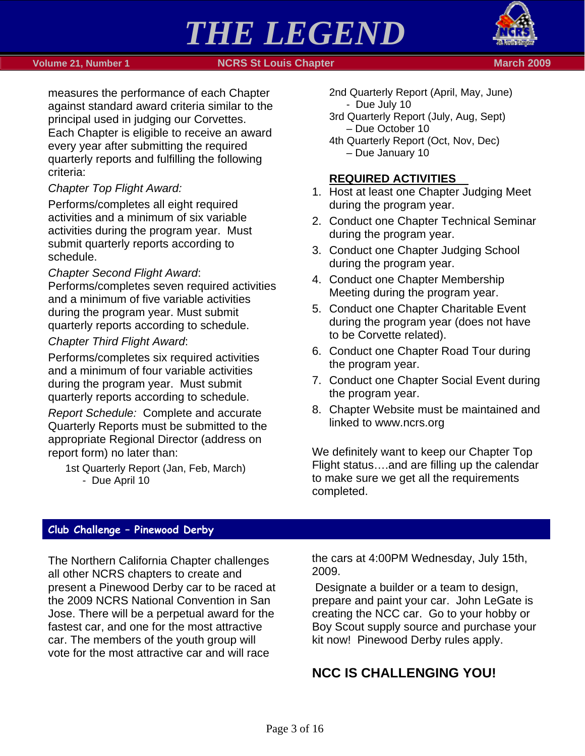

 **Volume 21, Number 1 <b>NGRS St Louis Chapter** March 2009 **March 2009** 

measures the performance of each Chapter against standard award criteria similar to the principal used in judging our Corvettes. Each Chapter is eligible to receive an award every year after submitting the required quarterly reports and fulfilling the following criteria:

## *Chapter Top Flight Award:*

Performs/completes all eight required activities and a minimum of six variable activities during the program year. Must submit quarterly reports according to schedule.

## *Chapter Second Flight Award*:

Performs/completes seven required activities and a minimum of five variable activities during the program year. Must submit quarterly reports according to schedule.

## *Chapter Third Flight Award*:

Performs/completes six required activities and a minimum of four variable activities during the program year. Must submit quarterly reports according to schedule.

*Report Schedule:* Complete and accurate Quarterly Reports must be submitted to the appropriate Regional Director (address on report form) no later than:

1st Quarterly Report (Jan, Feb, March) - Due April 10

- 2nd Quarterly Report (April, May, June) - Due July 10
- 3rd Quarterly Report (July, Aug, Sept) – Due October 10
- 4th Quarterly Report (Oct, Nov, Dec) – Due January 10

## **REQUIRED ACTIVITIES**

- 1. Host at least one Chapter Judging Meet during the program year.
- 2. Conduct one Chapter Technical Seminar during the program year.
- 3. Conduct one Chapter Judging School during the program year.
- 4. Conduct one Chapter Membership Meeting during the program year.
- 5. Conduct one Chapter Charitable Event during the program year (does not have to be Corvette related).
- 6. Conduct one Chapter Road Tour during the program year.
- 7. Conduct one Chapter Social Event during the program year.
- 8. Chapter Website must be maintained and linked to www.ncrs.org

We definitely want to keep our Chapter Top Flight status….and are filling up the calendar to make sure we get all the requirements completed.

## **Club Challenge – Pinewood Derby**

The Northern California Chapter challenges all other NCRS chapters to create and present a Pinewood Derby car to be raced at the 2009 NCRS National Convention in San Jose. There will be a perpetual award for the fastest car, and one for the most attractive car. The members of the youth group will vote for the most attractive car and will race

the cars at 4:00PM Wednesday, July 15th, 2009.

 Designate a builder or a team to design, prepare and paint your car. John LeGate is creating the NCC car. Go to your hobby or Boy Scout supply source and purchase your kit now! Pinewood Derby rules apply.

## **NCC IS CHALLENGING YOU!**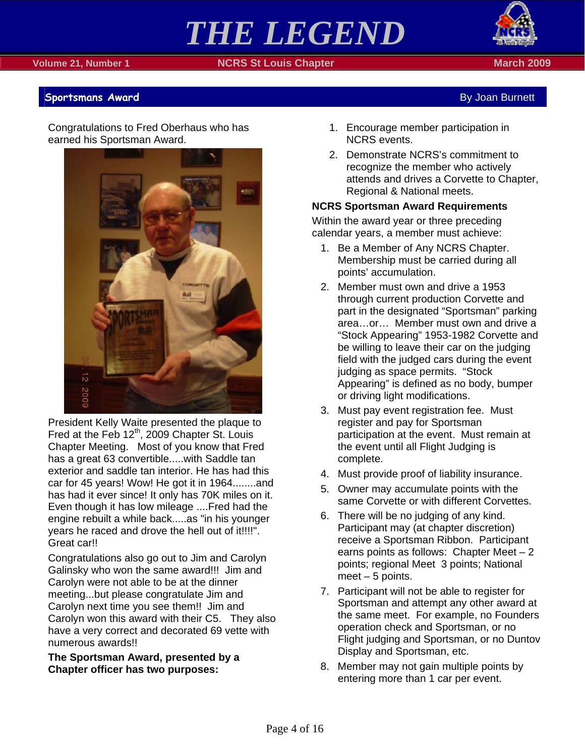





#### **Sportsmans Award** By Joan Burnett and Contract and Contract and Contract and Contract and Contract By Joan Burnett

Congratulations to Fred Oberhaus who has earned his Sportsman Award.



President Kelly Waite presented the plaque to Fred at the Feb 12<sup>th</sup>, 2009 Chapter St. Louis Chapter Meeting. Most of you know that Fred has a great 63 convertible.....with Saddle tan exterior and saddle tan interior. He has had this car for 45 years! Wow! He got it in 1964........and has had it ever since! It only has 70K miles on it. Even though it has low mileage ....Fred had the engine rebuilt a while back.....as "in his younger years he raced and drove the hell out of it!!!!". Great car!!

Congratulations also go out to Jim and Carolyn Galinsky who won the same award!!! Jim and Carolyn were not able to be at the dinner meeting...but please congratulate Jim and Carolyn next time you see them!! Jim and Carolyn won this award with their C5. They also have a very correct and decorated 69 vette with numerous awards!!

**The Sportsman Award, presented by a Chapter officer has two purposes:** 

- 1. Encourage member participation in NCRS events.
- 2. Demonstrate NCRS's commitment to recognize the member who actively attends and drives a Corvette to Chapter, Regional & National meets.

#### **NCRS Sportsman Award Requirements**

Within the award year or three preceding calendar years, a member must achieve:

- 1. Be a Member of Any NCRS Chapter. Membership must be carried during all points' accumulation.
- 2. Member must own and drive a 1953 through current production Corvette and part in the designated "Sportsman" parking area…or… Member must own and drive a "Stock Appearing" 1953-1982 Corvette and be willing to leave their car on the judging field with the judged cars during the event judging as space permits. "Stock Appearing" is defined as no body, bumper or driving light modifications.
- 3. Must pay event registration fee. Must register and pay for Sportsman participation at the event. Must remain at the event until all Flight Judging is complete.
- 4. Must provide proof of liability insurance.
- 5. Owner may accumulate points with the same Corvette or with different Corvettes.
- 6. There will be no judging of any kind. Participant may (at chapter discretion) receive a Sportsman Ribbon. Participant earns points as follows: Chapter Meet – 2 points; regional Meet 3 points; National  $meet - 5$  points.
- 7. Participant will not be able to register for Sportsman and attempt any other award at the same meet. For example, no Founders operation check and Sportsman, or no Flight judging and Sportsman, or no Duntov Display and Sportsman, etc.
- 8. Member may not gain multiple points by entering more than 1 car per event.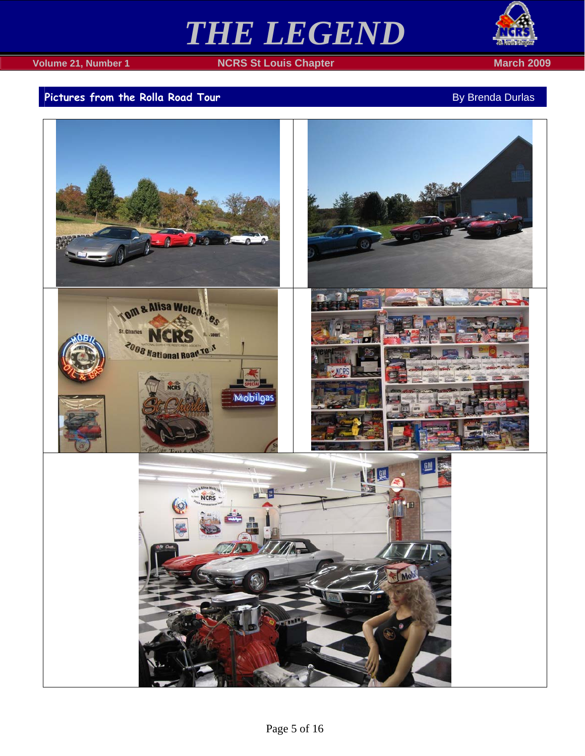

#### **Volume 21, Number 1 NCRS St Louis Chapter March 2009 March 2009**

## **Pictures from the Rolla Road Tour** By Brenda Durlas **By Brenda Durlas**

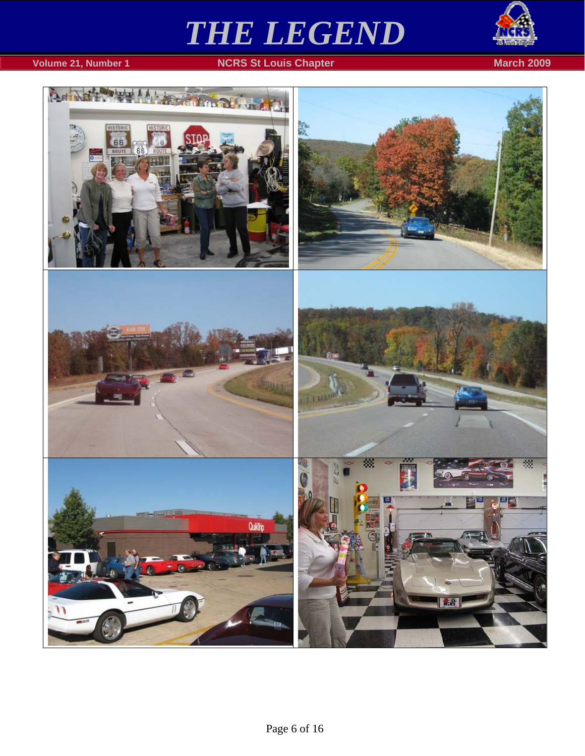

## **The Volume 21, Number 1 <b>NCRS St Louis Chapter** March 2009 **March 2009**

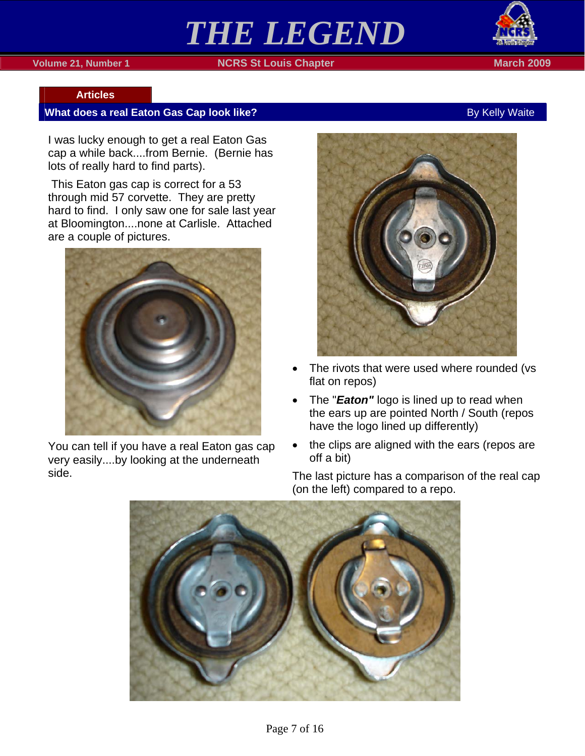#### **Articles**

#### **What does a real Eaton Gas Cap look like? By Kelly Waite By Kelly Waite By Kelly Waite**

I was lucky enough to get a real Eaton Gas cap a while back....from Bernie. (Bernie has lots of really hard to find parts).

 This Eaton gas cap is correct for a 53 through mid 57 corvette. They are pretty hard to find. I only saw one for sale last year at Bloomington....none at Carlisle. Attached are a couple of pictures.



You can tell if you have a real Eaton gas cap very easily....by looking at the underneath side. Some side. The last picture has a comparison of the real cap



- The rivots that were used where rounded (vs flat on repos)
- The "*Eaton*" logo is lined up to read when the ears up are pointed North / South (repos have the logo lined up differently)
- $\bullet$  the clips are aligned with the ears (repos are off a bit)

(on the left) compared to a repo.

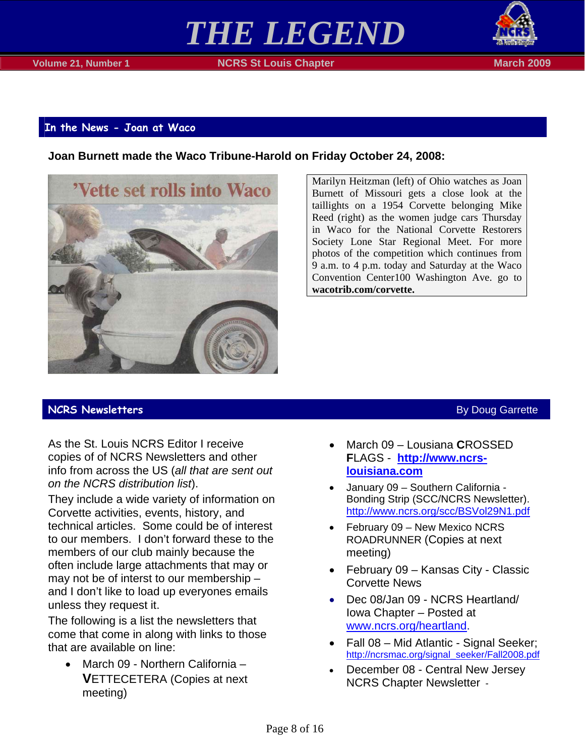



#### **In the News - Joan at Waco**

# 'Vette set rolls into Waco

#### **Joan Burnett made the Waco Tribune-Harold on Friday October 24, 2008:**

Marilyn Heitzman (left) of Ohio watches as Joan Burnett of Missouri gets a close look at the taillights on a 1954 Corvette belonging Mike Reed (right) as the women judge cars Thursday in Waco for the National Corvette Restorers Society Lone Star Regional Meet. For more photos of the competition which continues from 9 a.m. to 4 p.m. today and Saturday at the Waco Convention Center100 Washington Ave. go to **wacotrib.com/corvette.**

#### **NCRS Newsletters By Doug Garrette**

As the St. Louis NCRS Editor I receive copies of of NCRS Newsletters and other info from across the US (*all that are sent out on the NCRS distribution list*).

They include a wide variety of information on Corvette activities, events, history, and technical articles. Some could be of interest to our members. I don't forward these to the members of our club mainly because the often include large attachments that may or may not be of interst to our membership – and I don't like to load up everyones emails unless they request it.

The following is a list the newsletters that come that come in along with links to those that are available on line:

• March 09 - Northern California – **V**ETTECETERA (Copies at next meeting)

- March 09 Lousiana **C**ROSSED **F**LAGS - **[http://www.ncrs](http://www.ncrs-louisiana.com/)[louisiana.com](http://www.ncrs-louisiana.com/)**
- January 09 Southern California Bonding Strip (SCC/NCRS Newsletter). <http://www.ncrs.org/scc/BSVol29N1.pdf>
- February 09 New Mexico NCRS ROADRUNNER (Copies at next meeting)
- February 09 Kansas City Classic Corvette News
- Dec 08/Jan 09 NCRS Heartland/ Iowa Chapter – Posted at [www.ncrs.org/heartland.](http://www.ncrs.org/heartland)
- Fall 08 Mid Atlantic Signal Seeker; [http://ncrsmac.org/signal\\_seeker/Fall2008.pdf](http://ncrsmac.org/signal_seeker/Fall2008.pdf)
- December 08 Central New Jersey NCRS Chapter Newsletter -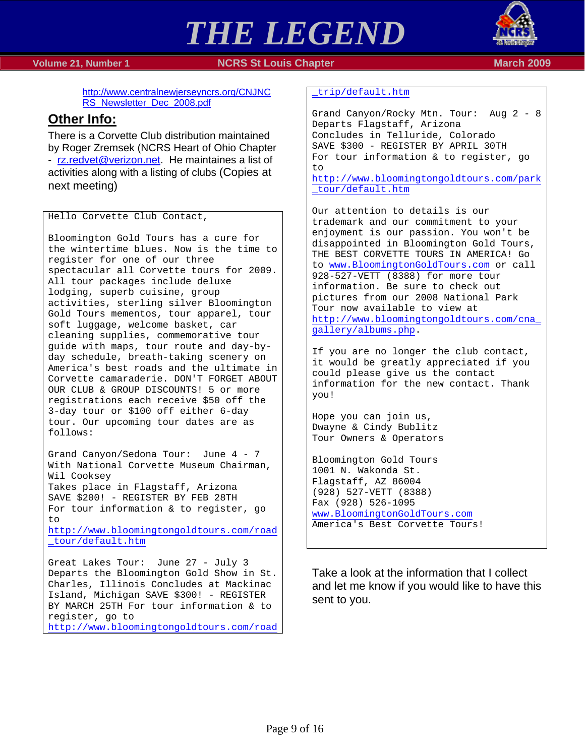

#### **Volume 21, Number 1 <b>NGRS St Louis Chapter** March 2009 **March 2009**

http://www.centralnewjerseyncrs.org/CNJNC RS\_Newsletter\_Dec\_2008.pdf

## **Other Info:**

There is a Corvette Club distribution maintained by Roger Zremsek (NCRS Heart of Ohio Chapter - [rz.redvet@verizon.net.](mailto:rz.redvet@verizon.net) He maintaines a list of activities along with a listing of clubs (Copies at next meeting)

Hello Corvette Club Contact,

Bloomington Gold Tours has a cure for the wintertime blues. Now is the time to register for one of our three spectacular all Corvette tours for 2009. All tour packages include deluxe lodging, superb cuisine, group activities, sterling silver Bloomington Gold Tours mementos, tour apparel, tour soft luggage, welcome basket, car cleaning supplies, commemorative tour guide with maps, tour route and day-byday schedule, breath-taking scenery on America's best roads and the ultimate in Corvette camaraderie. DON'T FORGET ABOUT OUR CLUB & GROUP DISCOUNTS! 5 or more registrations each receive \$50 off the 3-day tour or \$100 off either 6-day tour. Our upcoming tour dates are as follows:

Grand Canyon/Sedona Tour: June 4 - 7 With National Corvette Museum Chairman, Wil Cooksey Takes place in Flagstaff, Arizona SAVE \$200! - REGISTER BY FEB 28TH For tour information & to register, go to

[http://www.bloomingtongoldtours.com/road](http://www.bloomingtongoldtours.com/road_tour/default.htm) [\\_tour/default.htm](http://www.bloomingtongoldtours.com/road_tour/default.htm)

Great Lakes Tour: June 27 - July 3 Departs the Bloomington Gold Show in St. Charles, Illinois Concludes at Mackinac Island, Michigan SAVE \$300! - REGISTER BY MARCH 25TH For tour information & to register, go to [http://www.bloomingtongoldtours.com/road](http://www.bloomingtongoldtours.com/road_trip/default.htm)

#### [\\_trip/default.htm](http://www.bloomingtongoldtours.com/road_trip/default.htm)

Grand Canyon/Rocky Mtn. Tour: Aug 2 - 8 Departs Flagstaff, Arizona Concludes in Telluride, Colorado SAVE \$300 - REGISTER BY APRIL 30TH For tour information & to register, go to

[http://www.bloomingtongoldtours.com/park](http://www.bloomingtongoldtours.com/park_tour/default.htm) [\\_tour/default.htm](http://www.bloomingtongoldtours.com/park_tour/default.htm)

Our attention to details is our trademark and our commitment to your enjoyment is our passion. You won't be disappointed in Bloomington Gold Tours, THE BEST CORVETTE TOURS IN AMERICA! Go to <www.BloomingtonGoldTours.com>or call 928-527-VETT (8388) for more tour information. Be sure to check out pictures from our 2008 National Park Tour now available to view at [http://www.bloomingtongoldtours.com/cna\\_](http://www.bloomingtongoldtours.com/cna_gallery/albums.php) [gallery/albums.php.](http://www.bloomingtongoldtours.com/cna_gallery/albums.php)

If you are no longer the club contact, it would be greatly appreciated if you could please give us the contact information for the new contact. Thank you!

Hope you can join us, Dwayne & Cindy Bublitz Tour Owners & Operators

Bloomington Gold Tours 1001 N. Wakonda St. Flagstaff, AZ 86004 (928) 527-VETT (8388) Fax (928) 526-1095 <www.BloomingtonGoldTours.com> America's Best Corvette Tours!

Take a look at the information that I collect and let me know if you would like to have this sent to you.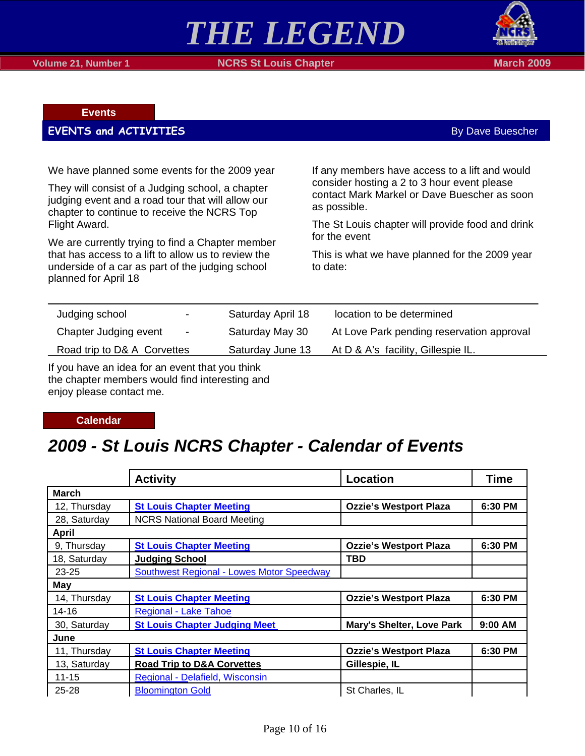



 **Volume 21, Number 1 <b>NGRS St Louis Chapter** March 2009 **March 2009** 

#### **Events**

#### **EVENTS and ACTIVITIES By Dave Buescher** By Dave Buescher

We have planned some events for the 2009 year

They will consist of a Judging school, a chapter judging event and a road tour that will allow our chapter to continue to receive the NCRS Top Flight Award.

We are currently trying to find a Chapter member that has access to a lift to allow us to review the underside of a car as part of the judging school planned for April 18

If any members have access to a lift and would consider hosting a 2 to 3 hour event please contact Mark Markel or Dave Buescher as soon as possible.

The St Louis chapter will provide food and drink for the event

This is what we have planned for the 2009 year to date:

| Judging school              | $\blacksquare$   | Saturday April 18 | location to be determined                 |
|-----------------------------|------------------|-------------------|-------------------------------------------|
| Chapter Judging event       | $\sim$ 100 $\mu$ | Saturday May 30   | At Love Park pending reservation approval |
| Road trip to D& A Corvettes |                  | Saturday June 13  | At D & A's facility, Gillespie IL.        |

If you have an idea for an event that you think the chapter members would find interesting and enjoy please contact me.

#### **Calendar**

## *2009 - St Louis NCRS Chapter - Calendar of Events*

|              | <b>Activity</b>                                  | <b>Location</b>                  | Time    |
|--------------|--------------------------------------------------|----------------------------------|---------|
| <b>March</b> |                                                  |                                  |         |
| 12, Thursday | <b>St Louis Chapter Meeting</b>                  | <b>Ozzie's Westport Plaza</b>    | 6:30 PM |
| 28, Saturday | <b>NCRS National Board Meeting</b>               |                                  |         |
| April        |                                                  |                                  |         |
| 9, Thursday  | <b>St Louis Chapter Meeting</b>                  | <b>Ozzie's Westport Plaza</b>    | 6:30 PM |
| 18, Saturday | <b>Judging School</b>                            | <b>TBD</b>                       |         |
| $23 - 25$    | <b>Southwest Regional - Lowes Motor Speedway</b> |                                  |         |
| May          |                                                  |                                  |         |
| 14, Thursday | <b>St Louis Chapter Meeting</b>                  | <b>Ozzie's Westport Plaza</b>    | 6:30 PM |
| 14-16        | <b>Regional - Lake Tahoe</b>                     |                                  |         |
| 30, Saturday | <b>St Louis Chapter Judging Meet</b>             | <b>Mary's Shelter, Love Park</b> | 9:00 AM |
| June         |                                                  |                                  |         |
| 11, Thursday | <b>St Louis Chapter Meeting</b>                  | <b>Ozzie's Westport Plaza</b>    | 6:30 PM |
| 13, Saturday | <b>Road Trip to D&amp;A Corvettes</b>            | Gillespie, IL                    |         |
| $11 - 15$    | Regional - Delafield, Wisconsin                  |                                  |         |
| 25-28        | <b>Bloomington Gold</b>                          | St Charles, IL                   |         |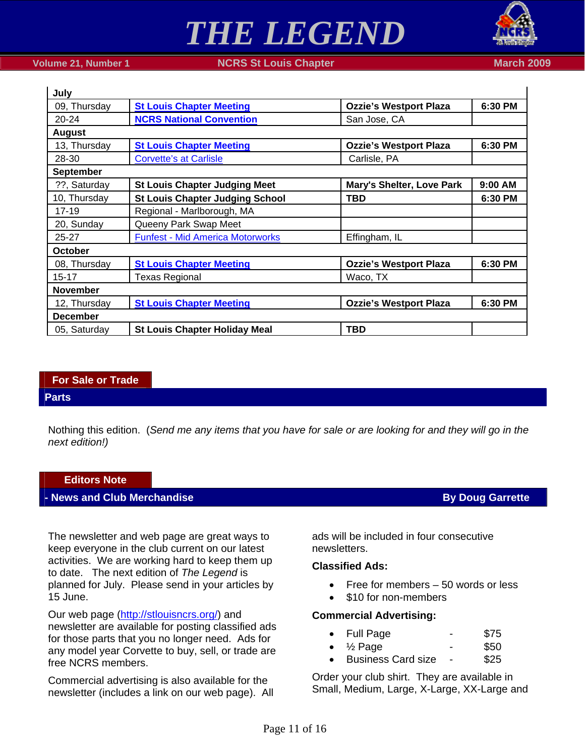

 **Volume 21, Number 1 NGRS St Louis Chapter March 2009 March 2009** 

| July             |                                         |                               |           |
|------------------|-----------------------------------------|-------------------------------|-----------|
| 09, Thursday     | <b>St Louis Chapter Meeting</b>         | <b>Ozzie's Westport Plaza</b> | 6:30 PM   |
| $20 - 24$        | <b>NCRS National Convention</b>         | San Jose, CA                  |           |
| <b>August</b>    |                                         |                               |           |
| 13, Thursday     | <b>St Louis Chapter Meeting</b>         | <b>Ozzie's Westport Plaza</b> | 6:30 PM   |
| 28-30            | <b>Corvette's at Carlisle</b>           | Carlisle, PA                  |           |
| <b>September</b> |                                         |                               |           |
| ??, Saturday     | <b>St Louis Chapter Judging Meet</b>    | Mary's Shelter, Love Park     | $9:00$ AM |
| 10, Thursday     | <b>St Louis Chapter Judging School</b>  | <b>TBD</b>                    | 6:30 PM   |
| $17 - 19$        | Regional - Marlborough, MA              |                               |           |
| 20, Sunday       | Queeny Park Swap Meet                   |                               |           |
| $25 - 27$        | <b>Funfest - Mid America Motorworks</b> | Effingham, IL                 |           |
| October          |                                         |                               |           |
| 08, Thursday     | <b>St Louis Chapter Meeting</b>         | <b>Ozzie's Westport Plaza</b> | 6:30 PM   |
| $15 - 17$        | <b>Texas Regional</b>                   | Waco, TX                      |           |
| <b>November</b>  |                                         |                               |           |
| 12, Thursday     | <b>St Louis Chapter Meeting</b>         | <b>Ozzie's Westport Plaza</b> | 6:30 PM   |
| <b>December</b>  |                                         |                               |           |
| 05, Saturday     | <b>St Louis Chapter Holiday Meal</b>    | <b>TBD</b>                    |           |

#### **For Sale or Trade**

#### **Parts**

Nothing this edition. (*Send me any items that you have for sale or are looking for and they will go in the next edition!)* 

#### **Editors Note**

#### **- News and Club Merchandise By Doug Garrette By Doug Garrette**

The newsletter and web page are great ways to keep everyone in the club current on our latest activities. We are working hard to keep them up to date. The next edition of *The Legend* is planned for July. Please send in your articles by 15 June.

Our web page [\(http://stlouisncrs.org/\)](http://stlouisncrs.org/) and newsletter are available for posting classified ads for those parts that you no longer need. Ads for any model year Corvette to buy, sell, or trade are free NCRS members.

Commercial advertising is also available for the newsletter (includes a link on our web page). All ads will be included in four consecutive newsletters.

#### **Classified Ads:**

- $\bullet$  Free for members  $-50$  words or less
- \$10 for non-members

#### **Commercial Advertising:**

| $\bullet$ | Full Page            | \$75 |
|-----------|----------------------|------|
|           | • $\frac{1}{2}$ Page | \$50 |
|           | $Din = 225$          | ጦገሮ  |

Business Card size - \$25

Order your club shirt. They are available in Small, Medium, Large, X-Large, XX-Large and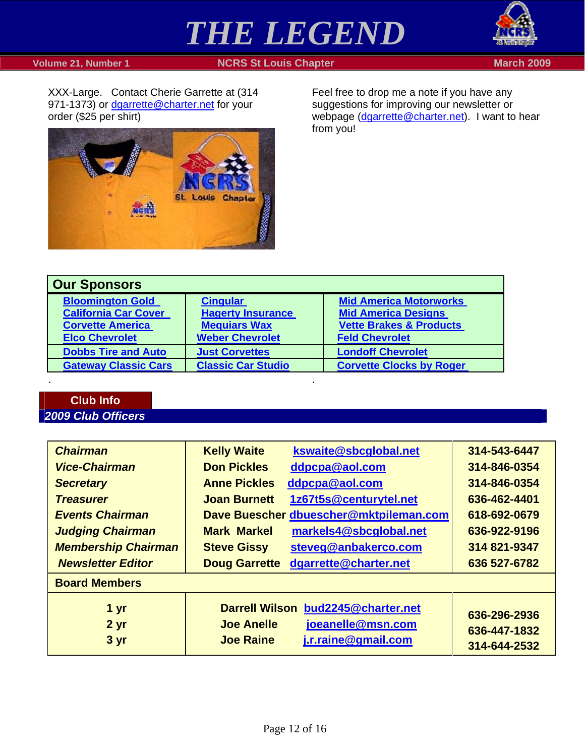



## **Volume 21, Number 1 NORS St Louis Chapter March 2009 March 2009**

XXX-Large. Contact Cherie Garrette at (314 971-1373) or [dgarrette@charter.net](mailto:dgarrette@charter.net) for your order (\$25 per shirt)



. .

Feel free to drop me a note if you have any suggestions for improving our newsletter or webpage [\(dgarrette@charter.net\)](mailto:dgarrette@charter.net). I want to hear from you!

| <b>Our Sponsors</b>         |                           |                                    |  |
|-----------------------------|---------------------------|------------------------------------|--|
| <b>Bloomington Gold</b>     | <b>Cingular</b>           | <b>Mid America Motorworks</b>      |  |
| <b>California Car Cover</b> | <b>Hagerty Insurance</b>  | <b>Mid America Designs</b>         |  |
| <b>Corvette America</b>     | <b>Mequiars Wax</b>       | <b>Vette Brakes &amp; Products</b> |  |
| <b>Elco Chevrolet</b>       | <b>Weber Chevrolet</b>    | <b>Feld Chevrolet</b>              |  |
| <b>Dobbs Tire and Auto</b>  | <b>Just Corvettes</b>     | <b>Londoff Chevrolet</b>           |  |
| <b>Gateway Classic Cars</b> | <b>Classic Car Studio</b> | <b>Corvette Clocks by Roger</b>    |  |

## **Club Info**  *2009 Club Officers*

| <b>Chairman</b>            | <b>Kelly Waite</b><br>kswaite@sbcglobal.net   | 314-543-6447                 |
|----------------------------|-----------------------------------------------|------------------------------|
| <b>Vice-Chairman</b>       | ddpcpa@aol.com<br><b>Don Pickles</b>          | 314-846-0354                 |
| <b>Secretary</b>           | ddpcpa@aol.com<br><b>Anne Pickles</b>         | 314-846-0354                 |
| <b>Treasurer</b>           | 1z67t5s@centurytel.net<br><b>Joan Burnett</b> | 636-462-4401                 |
| <b>Events Chairman</b>     | Dave Buescher dbuescher@mktpileman.com        | 618-692-0679                 |
| <b>Judging Chairman</b>    | <b>Mark Markel</b><br>markels4@sbcglobal.net  | 636-922-9196                 |
| <b>Membership Chairman</b> | <b>Steve Gissy</b><br>steveg@anbakerco.com    | 314 821-9347                 |
| <b>Newsletter Editor</b>   | dgarrette@charter.net<br><b>Doug Garrette</b> | 636 527-6782                 |
| <b>Board Members</b>       |                                               |                              |
| 1 <sub>yr</sub>            | Darrell Wilson bud2245@charter.net            |                              |
| 2 <sub>yr</sub>            | joeanelle@msn.com<br><b>Joe Anelle</b>        | 636-296-2936                 |
| 3 yr                       | j.r.raine@gmail.com<br><b>Joe Raine</b>       | 636-447-1832<br>314-644-2532 |
|                            |                                               |                              |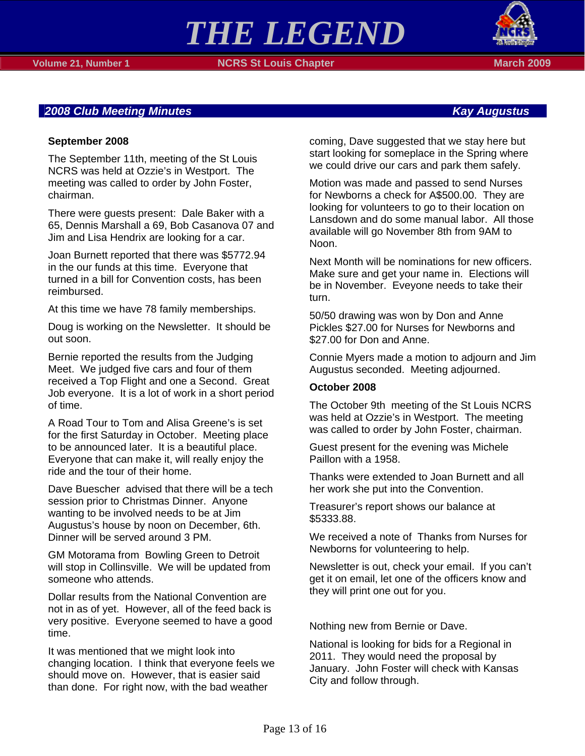

#### *2008 Club Meeting Minutes Kay Augustus*

#### **September 2008**

The September 11th, meeting of the St Louis NCRS was held at Ozzie's in Westport. The meeting was called to order by John Foster, chairman.

There were guests present: Dale Baker with a 65, Dennis Marshall a 69, Bob Casanova 07 and Jim and Lisa Hendrix are looking for a car.

Joan Burnett reported that there was \$5772.94 in the our funds at this time. Everyone that turned in a bill for Convention costs, has been reimbursed.

At this time we have 78 family memberships.

Doug is working on the Newsletter. It should be out soon.

Bernie reported the results from the Judging Meet. We judged five cars and four of them received a Top Flight and one a Second. Great Job everyone. It is a lot of work in a short period of time.

A Road Tour to Tom and Alisa Greene's is set for the first Saturday in October. Meeting place to be announced later. It is a beautiful place. Everyone that can make it, will really enjoy the ride and the tour of their home.

Dave Buescher advised that there will be a tech session prior to Christmas Dinner. Anyone wanting to be involved needs to be at Jim Augustus's house by noon on December, 6th. Dinner will be served around 3 PM.

GM Motorama from Bowling Green to Detroit will stop in Collinsville. We will be updated from someone who attends.

Dollar results from the National Convention are not in as of yet. However, all of the feed back is very positive. Everyone seemed to have a good time.

It was mentioned that we might look into changing location. I think that everyone feels we should move on. However, that is easier said than done. For right now, with the bad weather

coming, Dave suggested that we stay here but start looking for someplace in the Spring where we could drive our cars and park them safely.

Motion was made and passed to send Nurses for Newborns a check for A\$500.00. They are looking for volunteers to go to their location on Lansdown and do some manual labor. All those available will go November 8th from 9AM to Noon.

Next Month will be nominations for new officers. Make sure and get your name in. Elections will be in November. Eveyone needs to take their turn.

50/50 drawing was won by Don and Anne Pickles \$27.00 for Nurses for Newborns and \$27.00 for Don and Anne.

Connie Myers made a motion to adjourn and Jim Augustus seconded. Meeting adjourned.

#### **October 2008**

The October 9th meeting of the St Louis NCRS was held at Ozzie's in Westport. The meeting was called to order by John Foster, chairman.

Guest present for the evening was Michele Paillon with a 1958.

Thanks were extended to Joan Burnett and all her work she put into the Convention.

Treasurer's report shows our balance at \$5333.88.

We received a note of Thanks from Nurses for Newborns for volunteering to help.

Newsletter is out, check your email. If you can't get it on email, let one of the officers know and they will print one out for you.

Nothing new from Bernie or Dave.

National is looking for bids for a Regional in 2011. They would need the proposal by January. John Foster will check with Kansas City and follow through.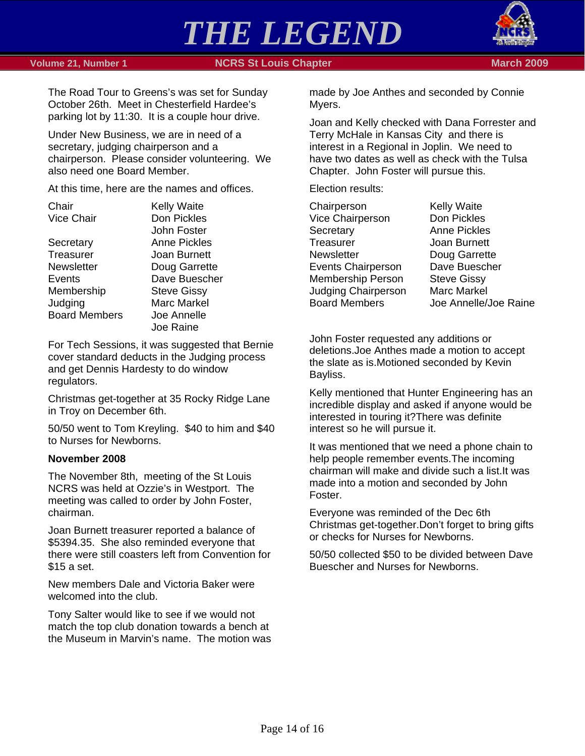

#### **Volume 21, Number 1 NCRS St Louis Chapter March 2009 March 2009**

The Road Tour to Greens's was set for Sunday October 26th. Meet in Chesterfield Hardee's parking lot by 11:30. It is a couple hour drive.

Under New Business, we are in need of a secretary, judging chairperson and a chairperson. Please consider volunteering. We also need one Board Member.

At this time, here are the names and offices.

| <b>Kelly Waite</b>  |
|---------------------|
| Don Pickles         |
| John Foster         |
| Anne Pickles        |
| <b>Joan Burnett</b> |
| Doug Garrette       |
| Dave Buescher       |
| <b>Steve Gissy</b>  |
| <b>Marc Markel</b>  |
| Joe Annelle         |
| Joe Raine           |
|                     |

For Tech Sessions, it was suggested that Bernie cover standard deducts in the Judging process and get Dennis Hardesty to do window regulators.

Christmas get-together at 35 Rocky Ridge Lane in Troy on December 6th.

50/50 went to Tom Kreyling. \$40 to him and \$40 to Nurses for Newborns.

#### **November 2008**

The November 8th, meeting of the St Louis NCRS was held at Ozzie's in Westport. The meeting was called to order by John Foster, chairman.

Joan Burnett treasurer reported a balance of \$5394.35. She also reminded everyone that there were still coasters left from Convention for \$15 a set.

New members Dale and Victoria Baker were welcomed into the club.

Tony Salter would like to see if we would not match the top club donation towards a bench at the Museum in Marvin's name. The motion was made by Joe Anthes and seconded by Connie Myers.

Joan and Kelly checked with Dana Forrester and Terry McHale in Kansas City and there is interest in a Regional in Joplin. We need to have two dates as well as check with the Tulsa Chapter. John Foster will pursue this.

Election results:

| Chairperson                | <b>Kelly Waite</b>  |
|----------------------------|---------------------|
| Vice Chairperson           | Don Pickles         |
| Secretary                  | <b>Anne Pickles</b> |
| Treasurer                  | <b>Joan Burnett</b> |
| <b>Newsletter</b>          | Doug Garrette       |
| <b>Events Chairperson</b>  | Dave Buescher       |
| Membership Person          | <b>Steve Gissy</b>  |
| <b>Judging Chairperson</b> | <b>Marc Markel</b>  |
| <b>Board Members</b>       | Joe Annelle/Joe     |
|                            |                     |

Don Pickles Anne Pickles Joan Burnett Marc Markel Board Members Joe Annelle/Joe Raine

John Foster requested any additions or deletions.Joe Anthes made a motion to accept the slate as is.Motioned seconded by Kevin Bayliss.

Kelly mentioned that Hunter Engineering has an incredible display and asked if anyone would be interested in touring it?There was definite interest so he will pursue it.

It was mentioned that we need a phone chain to help people remember events.The incoming chairman will make and divide such a list.It was made into a motion and seconded by John Foster.

Everyone was reminded of the Dec 6th Christmas get-together.Don't forget to bring gifts or checks for Nurses for Newborns.

50/50 collected \$50 to be divided between Dave Buescher and Nurses for Newborns.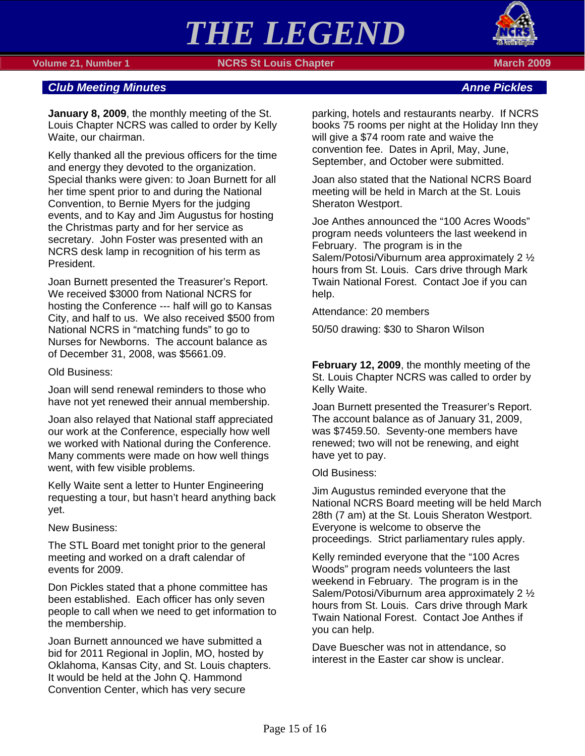





## **Club Meeting Minutes Anne Pickles Anne Pickles**

**January 8, 2009**, the monthly meeting of the St. Louis Chapter NCRS was called to order by Kelly Waite, our chairman.

Kelly thanked all the previous officers for the time and energy they devoted to the organization. Special thanks were given: to Joan Burnett for all her time spent prior to and during the National Convention, to Bernie Myers for the judging events, and to Kay and Jim Augustus for hosting the Christmas party and for her service as secretary. John Foster was presented with an NCRS desk lamp in recognition of his term as President.

Joan Burnett presented the Treasurer's Report. We received \$3000 from National NCRS for hosting the Conference --- half will go to Kansas City, and half to us. We also received \$500 from National NCRS in "matching funds" to go to Nurses for Newborns. The account balance as of December 31, 2008, was \$5661.09.

Old Business:

Joan will send renewal reminders to those who have not yet renewed their annual membership.

Joan also relayed that National staff appreciated our work at the Conference, especially how well we worked with National during the Conference. Many comments were made on how well things went, with few visible problems.

Kelly Waite sent a letter to Hunter Engineering requesting a tour, but hasn't heard anything back yet.

New Business:

The STL Board met tonight prior to the general meeting and worked on a draft calendar of events for 2009.

Don Pickles stated that a phone committee has been established. Each officer has only seven people to call when we need to get information to the membership.

Joan Burnett announced we have submitted a bid for 2011 Regional in Joplin, MO, hosted by Oklahoma, Kansas City, and St. Louis chapters. It would be held at the John Q. Hammond Convention Center, which has very secure

parking, hotels and restaurants nearby. If NCRS books 75 rooms per night at the Holiday Inn they will give a \$74 room rate and waive the convention fee. Dates in April, May, June, September, and October were submitted.

Joan also stated that the National NCRS Board meeting will be held in March at the St. Louis Sheraton Westport.

Joe Anthes announced the "100 Acres Woods" program needs volunteers the last weekend in February. The program is in the Salem/Potosi/Viburnum area approximately 2 ½ hours from St. Louis. Cars drive through Mark Twain National Forest. Contact Joe if you can help.

Attendance: 20 members

50/50 drawing: \$30 to Sharon Wilson

**February 12, 2009**, the monthly meeting of the St. Louis Chapter NCRS was called to order by Kelly Waite.

Joan Burnett presented the Treasurer's Report. The account balance as of January 31, 2009, was \$7459.50. Seventy-one members have renewed; two will not be renewing, and eight have yet to pay.

#### Old Business:

Jim Augustus reminded everyone that the National NCRS Board meeting will be held March 28th (7 am) at the St. Louis Sheraton Westport. Everyone is welcome to observe the proceedings. Strict parliamentary rules apply.

Kelly reminded everyone that the "100 Acres Woods" program needs volunteers the last weekend in February. The program is in the Salem/Potosi/Viburnum area approximately 2 ½ hours from St. Louis. Cars drive through Mark Twain National Forest. Contact Joe Anthes if you can help.

Dave Buescher was not in attendance, so interest in the Easter car show is unclear.